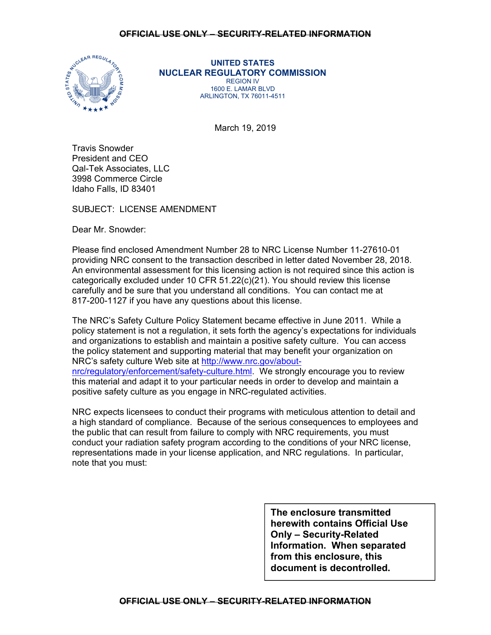

**UNITED STATES NUCLEAR REGULATORY COMMISSION**  REGION IV 1600 E. LAMAR BLVD ARLINGTON, TX 76011-4511

March 19, 2019

Travis Snowder President and CEO Qal-Tek Associates, LLC 3998 Commerce Circle Idaho Falls, ID 83401

SUBJECT: LICENSE AMENDMENT

Dear Mr. Snowder:

Please find enclosed Amendment Number 28 to NRC License Number 11-27610-01 providing NRC consent to the transaction described in letter dated November 28, 2018. An environmental assessment for this licensing action is not required since this action is categorically excluded under 10 CFR 51.22(c)(21). You should review this license carefully and be sure that you understand all conditions. You can contact me at 817-200-1127 if you have any questions about this license.

The NRC's Safety Culture Policy Statement became effective in June 2011. While a policy statement is not a regulation, it sets forth the agency's expectations for individuals and organizations to establish and maintain a positive safety culture. You can access the policy statement and supporting material that may benefit your organization on NRC's safety culture Web site at http://www.nrc.gov/aboutnrc/regulatory/enforcement/safety-culture.html. We strongly encourage you to review this material and adapt it to your particular needs in order to develop and maintain a positive safety culture as you engage in NRC-regulated activities.

NRC expects licensees to conduct their programs with meticulous attention to detail and a high standard of compliance. Because of the serious consequences to employees and the public that can result from failure to comply with NRC requirements, you must conduct your radiation safety program according to the conditions of your NRC license, representations made in your license application, and NRC regulations. In particular, note that you must:

> **The enclosure transmitted herewith contains Official Use Only – Security-Related Information. When separated from this enclosure, this document is decontrolled.**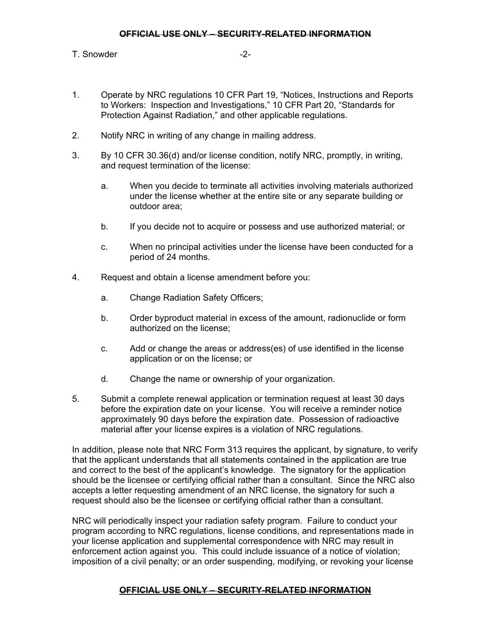## T. Snowder  $-2$ -

- 1. Operate by NRC regulations 10 CFR Part 19, "Notices, Instructions and Reports to Workers: Inspection and Investigations," 10 CFR Part 20, "Standards for Protection Against Radiation," and other applicable regulations.
- 2. Notify NRC in writing of any change in mailing address.
- 3. By 10 CFR 30.36(d) and/or license condition, notify NRC, promptly, in writing, and request termination of the license:
	- a. When you decide to terminate all activities involving materials authorized under the license whether at the entire site or any separate building or outdoor area;
	- b. If you decide not to acquire or possess and use authorized material; or
	- c. When no principal activities under the license have been conducted for a period of 24 months.
- 4. Request and obtain a license amendment before you:
	- a. Change Radiation Safety Officers;
	- b. Order byproduct material in excess of the amount, radionuclide or form authorized on the license;
	- c. Add or change the areas or address(es) of use identified in the license application or on the license; or
	- d. Change the name or ownership of your organization.
- 5. Submit a complete renewal application or termination request at least 30 days before the expiration date on your license. You will receive a reminder notice approximately 90 days before the expiration date. Possession of radioactive material after your license expires is a violation of NRC regulations.

In addition, please note that NRC Form 313 requires the applicant, by signature, to verify that the applicant understands that all statements contained in the application are true and correct to the best of the applicant's knowledge. The signatory for the application should be the licensee or certifying official rather than a consultant. Since the NRC also accepts a letter requesting amendment of an NRC license, the signatory for such a request should also be the licensee or certifying official rather than a consultant.

NRC will periodically inspect your radiation safety program. Failure to conduct your program according to NRC regulations, license conditions, and representations made in your license application and supplemental correspondence with NRC may result in enforcement action against you. This could include issuance of a notice of violation; imposition of a civil penalty; or an order suspending, modifying, or revoking your license

## **OFFICIAL USE ONLY – SECURITY-RELATED INFORMATION**